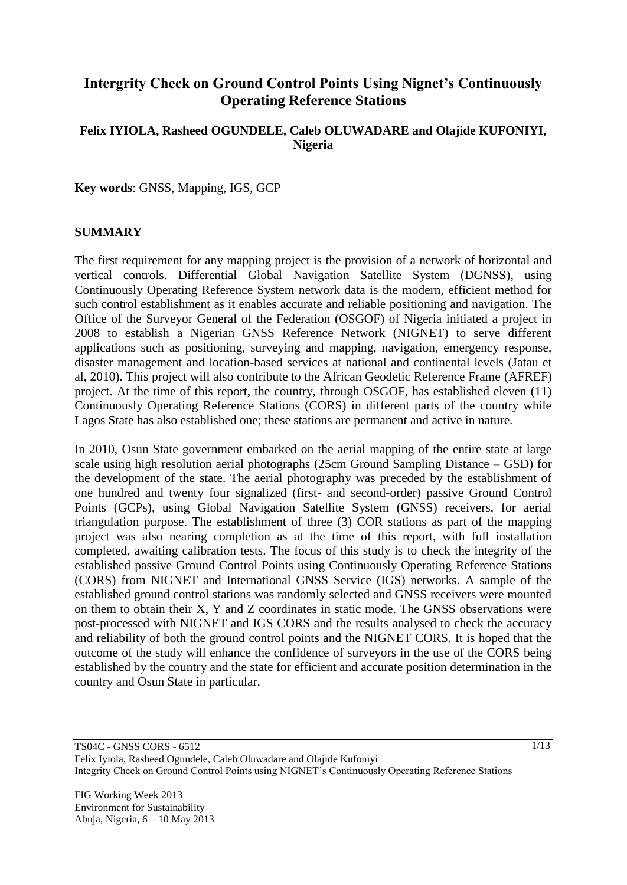# **Intergrity Check on Ground Control Points Using Nignet's Continuously Operating Reference Stations**

### **Felix IYIOLA, Rasheed OGUNDELE, Caleb OLUWADARE and Olajide KUFONIYI, Nigeria**

**Key words**: GNSS, Mapping, IGS, GCP

#### **SUMMARY**

The first requirement for any mapping project is the provision of a network of horizontal and vertical controls. Differential Global Navigation Satellite System (DGNSS), using Continuously Operating Reference System network data is the modern, efficient method for such control establishment as it enables accurate and reliable positioning and navigation. The Office of the Surveyor General of the Federation (OSGOF) of Nigeria initiated a project in 2008 to establish a Nigerian GNSS Reference Network (NIGNET) to serve different applications such as positioning, surveying and mapping, navigation, emergency response, disaster management and location-based services at national and continental levels (Jatau et al, 2010). This project will also contribute to the African Geodetic Reference Frame (AFREF) project. At the time of this report, the country, through OSGOF, has established eleven (11) Continuously Operating Reference Stations (CORS) in different parts of the country while Lagos State has also established one; these stations are permanent and active in nature.

In 2010, Osun State government embarked on the aerial mapping of the entire state at large scale using high resolution aerial photographs (25cm Ground Sampling Distance – GSD) for the development of the state. The aerial photography was preceded by the establishment of one hundred and twenty four signalized (first- and second-order) passive Ground Control Points (GCPs), using Global Navigation Satellite System (GNSS) receivers, for aerial triangulation purpose. The establishment of three (3) COR stations as part of the mapping project was also nearing completion as at the time of this report, with full installation completed, awaiting calibration tests. The focus of this study is to check the integrity of the established passive Ground Control Points using Continuously Operating Reference Stations (CORS) from NIGNET and International GNSS Service (IGS) networks. A sample of the established ground control stations was randomly selected and GNSS receivers were mounted on them to obtain their X, Y and Z coordinates in static mode. The GNSS observations were post-processed with NIGNET and IGS CORS and the results analysed to check the accuracy and reliability of both the ground control points and the NIGNET CORS. It is hoped that the outcome of the study will enhance the confidence of surveyors in the use of the CORS being established by the country and the state for efficient and accurate position determination in the country and Osun State in particular.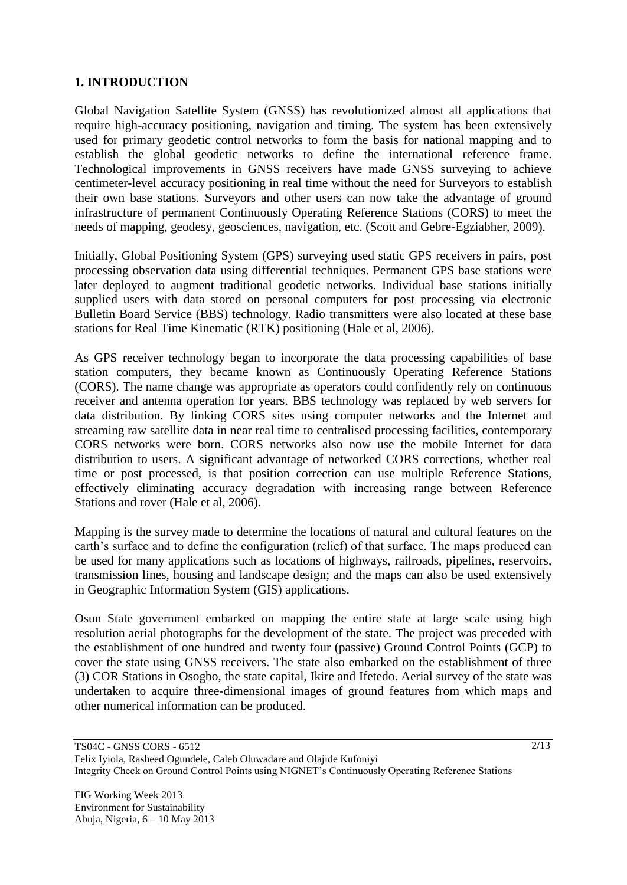### **1. INTRODUCTION**

Global Navigation Satellite System (GNSS) has revolutionized almost all applications that require high-accuracy positioning, navigation and timing. The system has been extensively used for primary geodetic control networks to form the basis for national mapping and to establish the global geodetic networks to define the international reference frame. Technological improvements in GNSS receivers have made GNSS surveying to achieve centimeter-level accuracy positioning in real time without the need for Surveyors to establish their own base stations. Surveyors and other users can now take the advantage of ground infrastructure of permanent Continuously Operating Reference Stations (CORS) to meet the needs of mapping, geodesy, geosciences, navigation, etc. (Scott and Gebre-Egziabher, 2009).

Initially, Global Positioning System (GPS) surveying used static GPS receivers in pairs, post processing observation data using differential techniques. Permanent GPS base stations were later deployed to augment traditional geodetic networks. Individual base stations initially supplied users with data stored on personal computers for post processing via electronic Bulletin Board Service (BBS) technology. Radio transmitters were also located at these base stations for Real Time Kinematic (RTK) positioning (Hale et al, 2006).

As GPS receiver technology began to incorporate the data processing capabilities of base station computers, they became known as Continuously Operating Reference Stations (CORS). The name change was appropriate as operators could confidently rely on continuous receiver and antenna operation for years. BBS technology was replaced by web servers for data distribution. By linking CORS sites using computer networks and the Internet and streaming raw satellite data in near real time to centralised processing facilities, contemporary CORS networks were born. CORS networks also now use the mobile Internet for data distribution to users. A significant advantage of networked CORS corrections, whether real time or post processed, is that position correction can use multiple Reference Stations, effectively eliminating accuracy degradation with increasing range between Reference Stations and rover (Hale et al, 2006).

Mapping is the survey made to determine the locations of natural and cultural features on the earth's surface and to define the configuration (relief) of that surface. The maps produced can be used for many applications such as locations of highways, railroads, pipelines, reservoirs, transmission lines, housing and landscape design; and the maps can also be used extensively in Geographic Information System (GIS) applications.

Osun State government embarked on mapping the entire state at large scale using high resolution aerial photographs for the development of the state. The project was preceded with the establishment of one hundred and twenty four (passive) Ground Control Points (GCP) to cover the state using GNSS receivers. The state also embarked on the establishment of three (3) COR Stations in Osogbo, the state capital, Ikire and Ifetedo. Aerial survey of the state was undertaken to acquire three-dimensional images of ground features from which maps and other numerical information can be produced.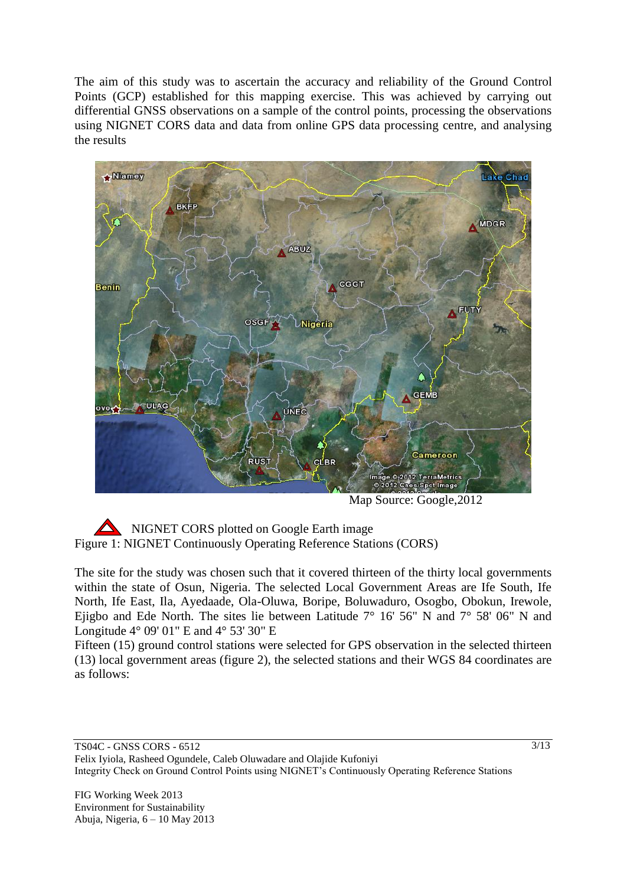The aim of this study was to ascertain the accuracy and reliability of the Ground Control Points (GCP) established for this mapping exercise. This was achieved by carrying out differential GNSS observations on a sample of the control points, processing the observations using NIGNET CORS data and data from online GPS data processing centre, and analysing the results



Map Source: Google,2012

 NIGNET CORS plotted on Google Earth image Figure 1: NIGNET Continuously Operating Reference Stations (CORS)

The site for the study was chosen such that it covered thirteen of the thirty local governments within the state of Osun, Nigeria. The selected Local Government Areas are Ife South, Ife North, Ife East, Ila, Ayedaade, Ola-Oluwa, Boripe, Boluwaduro, Osogbo, Obokun, Irewole, Ejigbo and Ede North. The sites lie between Latitude  $7^{\circ}$  16' 56" N and  $7^{\circ}$  58' 06" N and Longitude 4° 09' 01" E and 4° 53' 30" E

Fifteen (15) ground control stations were selected for GPS observation in the selected thirteen (13) local government areas (figure 2), the selected stations and their WGS 84 coordinates are as follows: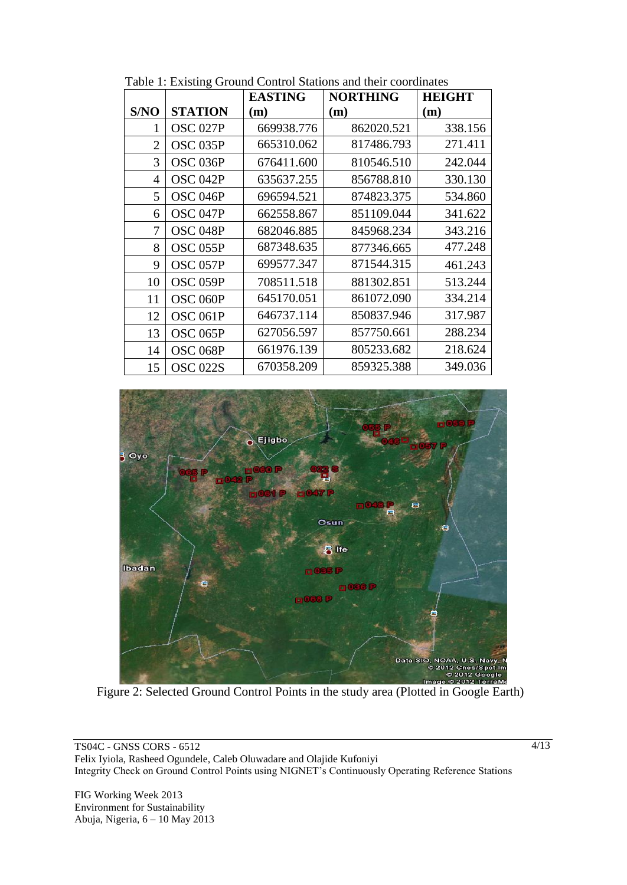|                |                     | <b>EASTING</b> | <b>NORTHING</b> | <b>HEIGHT</b> |
|----------------|---------------------|----------------|-----------------|---------------|
| S/NO           | <b>STATION</b>      | (m)            | (m)             | (m)           |
| 1              | <b>OSC 027P</b>     | 669938.776     | 862020.521      | 338.156       |
| $\overline{2}$ | OSC <sub>035P</sub> | 665310.062     | 817486.793      | 271.411       |
| 3              | OSC 036P            | 676411.600     | 810546.510      | 242.044       |
| 4              | OSC <sub>042P</sub> | 635637.255     | 856788.810      | 330.130       |
| 5              | OSC <sub>046P</sub> | 696594.521     | 874823.375      | 534.860       |
| 6              | OSC <sub>047P</sub> | 662558.867     | 851109.044      | 341.622       |
| 7              | OSC <sub>048P</sub> | 682046.885     | 845968.234      | 343.216       |
| 8              | OSC <sub>055P</sub> | 687348.635     | 877346.665      | 477.248       |
| 9              | OSC <sub>057P</sub> | 699577.347     | 871544.315      | 461.243       |
| 10             | OSC <sub>059P</sub> | 708511.518     | 881302.851      | 513.244       |
| 11             | OSC 060P            | 645170.051     | 861072.090      | 334.214       |
| 12             | OSC <sub>061P</sub> | 646737.114     | 850837.946      | 317.987       |
| 13             | OSC 065P            | 627056.597     | 857750.661      | 288.234       |
| 14             | OSC <sub>068P</sub> | 661976.139     | 805233.682      | 218.624       |
| 15             | OSC 022S            | 670358.209     | 859325.388      | 349.036       |

Table 1: Existing Ground Control Stations and their coordinates



Figure 2: Selected Ground Control Points in the study area (Plotted in Google Earth)

TS04C - GNSS CORS - 6512 Felix Iyiola, Rasheed Ogundele, Caleb Oluwadare and Olajide Kufoniyi Integrity Check on Ground Control Points using NIGNET's Continuously Operating Reference Stations

FIG Working Week 2013 Environment for Sustainability Abuja, Nigeria, 6 – 10 May 2013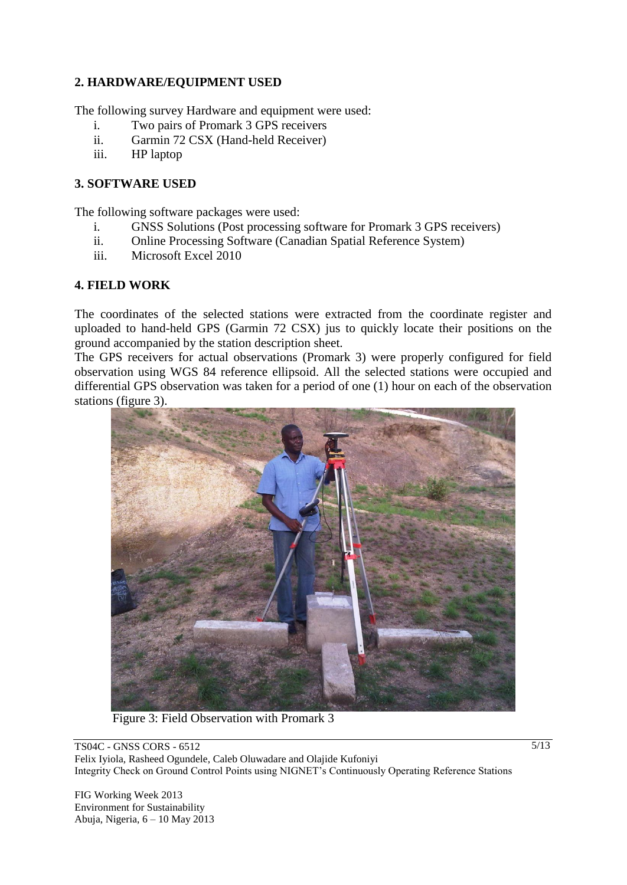## **2. HARDWARE/EQUIPMENT USED**

The following survey Hardware and equipment were used:

- i. Two pairs of Promark 3 GPS receivers
- ii. Garmin 72 CSX (Hand-held Receiver)
- iii. HP laptop

### **3. SOFTWARE USED**

The following software packages were used:

- i. GNSS Solutions (Post processing software for Promark 3 GPS receivers)
- ii. Online Processing Software (Canadian Spatial Reference System)
- iii. Microsoft Excel 2010

### **4. FIELD WORK**

The coordinates of the selected stations were extracted from the coordinate register and uploaded to hand-held GPS (Garmin 72 CSX) jus to quickly locate their positions on the ground accompanied by the station description sheet.

The GPS receivers for actual observations (Promark 3) were properly configured for field observation using WGS 84 reference ellipsoid. All the selected stations were occupied and differential GPS observation was taken for a period of one (1) hour on each of the observation stations (figure 3).



Figure 3: Field Observation with Promark 3

TS04C - GNSS CORS - 6512 Felix Iyiola, Rasheed Ogundele, Caleb Oluwadare and Olajide Kufoniyi Integrity Check on Ground Control Points using NIGNET's Continuously Operating Reference Stations

FIG Working Week 2013 Environment for Sustainability Abuja, Nigeria, 6 – 10 May 2013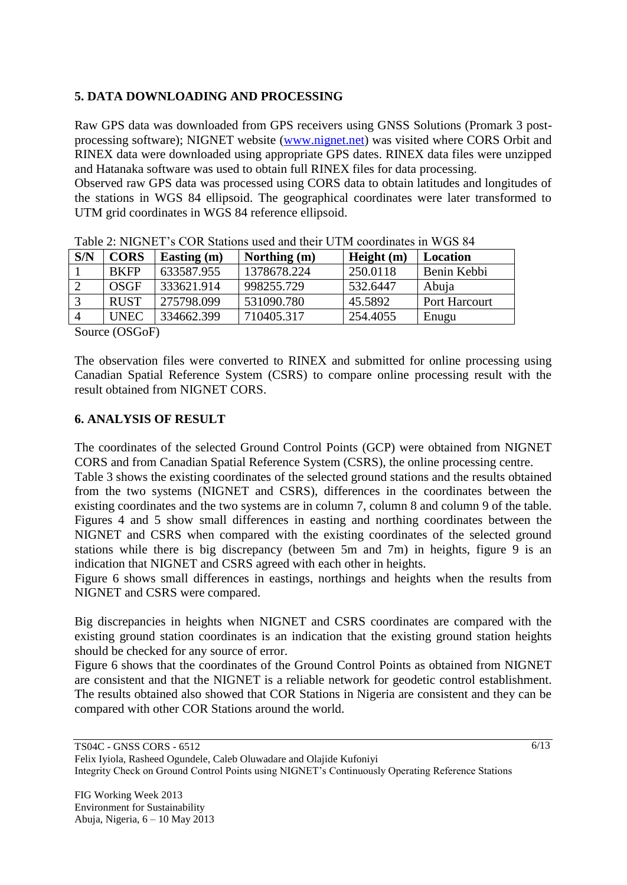# **5. DATA DOWNLOADING AND PROCESSING**

Raw GPS data was downloaded from GPS receivers using GNSS Solutions (Promark 3 postprocessing software); NIGNET website [\(www.nignet.net\)](http://www.nignet.net/) was visited where CORS Orbit and RINEX data were downloaded using appropriate GPS dates. RINEX data files were unzipped and Hatanaka software was used to obtain full RINEX files for data processing.

Observed raw GPS data was processed using CORS data to obtain latitudes and longitudes of the stations in WGS 84 ellipsoid. The geographical coordinates were later transformed to UTM grid coordinates in WGS 84 reference ellipsoid.

| S/N | <b>CORS</b> | Easting (m) | Northing (m) | Height $(m)$ | Location      |  |  |  |  |
|-----|-------------|-------------|--------------|--------------|---------------|--|--|--|--|
|     | <b>BKFP</b> | 633587.955  | 1378678.224  | 250.0118     | Benin Kebbi   |  |  |  |  |
|     | OSGF        | 333621.914  | 998255.729   | 532.6447     | Abuja         |  |  |  |  |
|     | <b>RUST</b> | 275798.099  | 531090.780   | 45.5892      | Port Harcourt |  |  |  |  |
|     | UNEC        | 334662.399  | 710405.317   | 254.4055     | Enugu         |  |  |  |  |
|     |             |             |              |              |               |  |  |  |  |

|  |  | Table 2: NIGNET's COR Stations used and their UTM coordinates in WGS 84 |
|--|--|-------------------------------------------------------------------------|
|--|--|-------------------------------------------------------------------------|

Source (OSGoF)

The observation files were converted to RINEX and submitted for online processing using Canadian Spatial Reference System (CSRS) to compare online processing result with the result obtained from NIGNET CORS.

#### **6. ANALYSIS OF RESULT**

The coordinates of the selected Ground Control Points (GCP) were obtained from NIGNET CORS and from Canadian Spatial Reference System (CSRS), the online processing centre.

Table 3 shows the existing coordinates of the selected ground stations and the results obtained from the two systems (NIGNET and CSRS), differences in the coordinates between the existing coordinates and the two systems are in column 7, column 8 and column 9 of the table. Figures 4 and 5 show small differences in easting and northing coordinates between the NIGNET and CSRS when compared with the existing coordinates of the selected ground stations while there is big discrepancy (between 5m and 7m) in heights, figure 9 is an indication that NIGNET and CSRS agreed with each other in heights.

Figure 6 shows small differences in eastings, northings and heights when the results from NIGNET and CSRS were compared.

Big discrepancies in heights when NIGNET and CSRS coordinates are compared with the existing ground station coordinates is an indication that the existing ground station heights should be checked for any source of error.

Figure 6 shows that the coordinates of the Ground Control Points as obtained from NIGNET are consistent and that the NIGNET is a reliable network for geodetic control establishment. The results obtained also showed that COR Stations in Nigeria are consistent and they can be compared with other COR Stations around the world.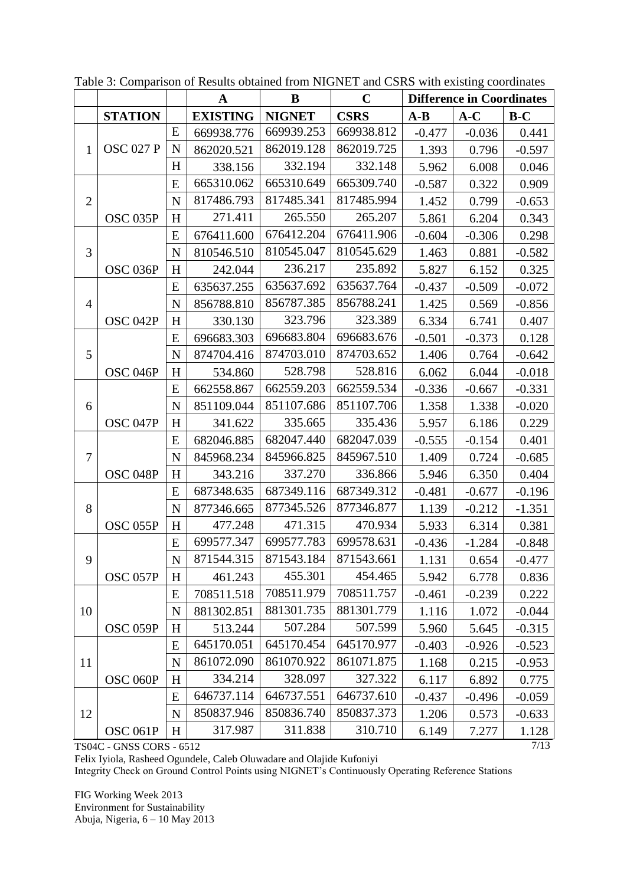|                |                                 |             | $\mathbf A$     | B             | $\mathbf C$ | <b>Difference in Coordinates</b> |          |          |
|----------------|---------------------------------|-------------|-----------------|---------------|-------------|----------------------------------|----------|----------|
|                | <b>STATION</b>                  |             | <b>EXISTING</b> | <b>NIGNET</b> | <b>CSRS</b> | $A-B$                            | $A-C$    | $B-C$    |
|                |                                 | E           | 669938.776      | 669939.253    | 669938.812  | $-0.477$                         | $-0.036$ | 0.441    |
| $\mathbf{1}$   | <b>OSC 027 P</b>                | $\mathbf N$ | 862020.521      | 862019.128    | 862019.725  | 1.393                            | 0.796    | $-0.597$ |
|                |                                 | H           | 338.156         | 332.194       | 332.148     | 5.962                            | 6.008    | 0.046    |
|                |                                 | E           | 665310.062      | 665310.649    | 665309.740  | $-0.587$                         | 0.322    | 0.909    |
| $\mathbf{2}$   |                                 | $\mathbf N$ | 817486.793      | 817485.341    | 817485.994  | 1.452                            | 0.799    | $-0.653$ |
|                | OSC 035P                        | H           | 271.411         | 265.550       | 265.207     | 5.861                            | 6.204    | 0.343    |
|                |                                 | E           | 676411.600      | 676412.204    | 676411.906  | $-0.604$                         | $-0.306$ | 0.298    |
| 3              |                                 | N           | 810546.510      | 810545.047    | 810545.629  | 1.463                            | 0.881    | $-0.582$ |
|                | OSC 036P                        | H           | 242.044         | 236.217       | 235.892     | 5.827                            | 6.152    | 0.325    |
|                |                                 | E           | 635637.255      | 635637.692    | 635637.764  | $-0.437$                         | $-0.509$ | $-0.072$ |
| $\overline{4}$ |                                 | $\mathbf N$ | 856788.810      | 856787.385    | 856788.241  | 1.425                            | 0.569    | $-0.856$ |
|                | OSC 042P                        | H           | 330.130         | 323.796       | 323.389     | 6.334                            | 6.741    | 0.407    |
|                |                                 | E           | 696683.303      | 696683.804    | 696683.676  | $-0.501$                         | $-0.373$ | 0.128    |
| 5              |                                 | N           | 874704.416      | 874703.010    | 874703.652  | 1.406                            | 0.764    | $-0.642$ |
|                | OSC <sub>046P</sub>             | H           | 534.860         | 528.798       | 528.816     | 6.062                            | 6.044    | $-0.018$ |
|                |                                 | E           | 662558.867      | 662559.203    | 662559.534  | $-0.336$                         | $-0.667$ | $-0.331$ |
| 6              |                                 | $\mathbf N$ | 851109.044      | 851107.686    | 851107.706  | 1.358                            | 1.338    | $-0.020$ |
|                | OSC <sub>047P</sub>             | H           | 341.622         | 335.665       | 335.436     | 5.957                            | 6.186    | 0.229    |
|                |                                 | E           | 682046.885      | 682047.440    | 682047.039  | $-0.555$                         | $-0.154$ | 0.401    |
| $\tau$         |                                 | N           | 845968.234      | 845966.825    | 845967.510  | 1.409                            | 0.724    | $-0.685$ |
|                | OSC <sub>048P</sub>             | H           | 343.216         | 337.270       | 336.866     | 5.946                            | 6.350    | 0.404    |
|                |                                 | E           | 687348.635      | 687349.116    | 687349.312  | $-0.481$                         | $-0.677$ | $-0.196$ |
| 8              |                                 | $\mathbf N$ | 877346.665      | 877345.526    | 877346.877  | 1.139                            | $-0.212$ | $-1.351$ |
|                | OSC 055P                        | H           | 477.248         | 471.315       | 470.934     | 5.933                            | 6.314    | 0.381    |
|                |                                 | E           | 699577.347      | 699577.783    | 699578.631  | $-0.436$                         | $-1.284$ | $-0.848$ |
| 9              |                                 | N           | 871544.315      | 871543.184    | 871543.661  | 1.131                            | 0.654    | $-0.477$ |
|                | OSC 057P                        | H           | 461.243         | 455.301       | 454.465     | 5.942                            | 6.778    | 0.836    |
|                |                                 | E           | 708511.518      | 708511.979    | 708511.757  | $-0.461$                         | $-0.239$ | 0.222    |
| 10             |                                 | $\mathbf N$ | 881302.851      | 881301.735    | 881301.779  | 1.116                            | 1.072    | $-0.044$ |
|                | OSC 059P                        | H           | 513.244         | 507.284       | 507.599     | 5.960                            | 5.645    | $-0.315$ |
|                |                                 | E           | 645170.051      | 645170.454    | 645170.977  | $-0.403$                         | $-0.926$ | $-0.523$ |
| 11             |                                 | $\mathbf N$ | 861072.090      | 861070.922    | 861071.875  | 1.168                            | 0.215    | $-0.953$ |
|                | OSC 060P                        | H           | 334.214         | 328.097       | 327.322     | 6.117                            | 6.892    | 0.775    |
|                |                                 | E           | 646737.114      | 646737.551    | 646737.610  | $-0.437$                         | $-0.496$ | $-0.059$ |
| 12             |                                 | $\mathbf N$ | 850837.946      | 850836.740    | 850837.373  | 1.206                            | 0.573    | $-0.633$ |
|                | OSC <sub>061P</sub>             | H           | 317.987         | 311.838       | 310.710     | 6.149                            | 7.277    | 1.128    |
|                | <b>TS04C - GNSS CORS - 6512</b> |             |                 |               |             |                                  |          | 7/13     |

Table 3: Comparison of Results obtained from NIGNET and CSRS with existing coordinates

TS04C - GNSS CORS - 6512

Felix Iyiola, Rasheed Ogundele, Caleb Oluwadare and Olajide Kufoniyi

Integrity Check on Ground Control Points using NIGNET's Continuously Operating Reference Stations

FIG Working Week 2013 Environment for Sustainability Abuja, Nigeria, 6 – 10 May 2013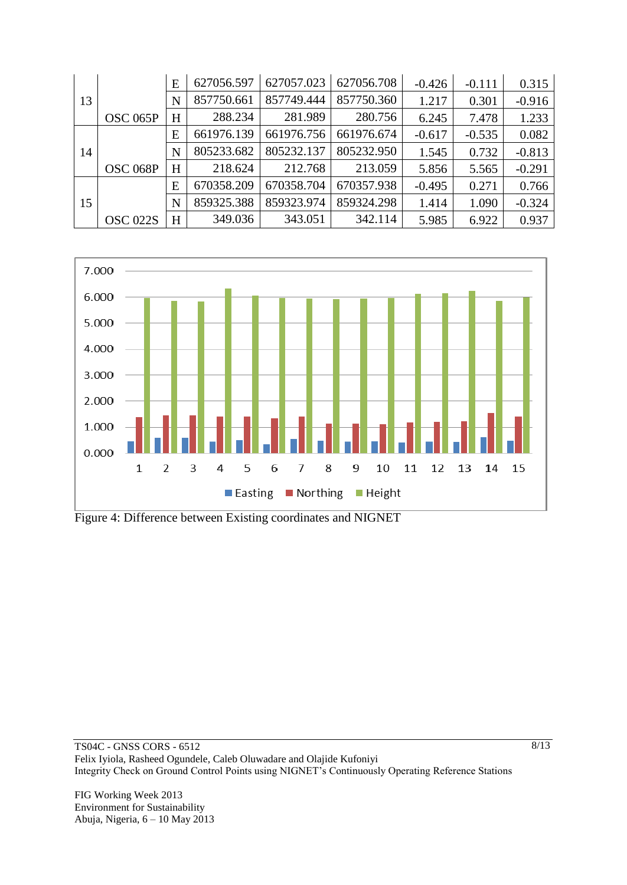|    |                 | E | 627056.597 | 627057.023 | 627056.708 | $-0.426$ | $-0.111$ | 0.315    |
|----|-----------------|---|------------|------------|------------|----------|----------|----------|
| 13 |                 | N | 857750.661 | 857749.444 | 857750.360 | 1.217    | 0.301    | $-0.916$ |
|    | OSC 065P        | H | 288.234    | 281.989    | 280.756    | 6.245    | 7.478    | 1.233    |
|    |                 | E | 661976.139 | 661976.756 | 661976.674 | $-0.617$ | $-0.535$ | 0.082    |
| 14 |                 | N | 805233.682 | 805232.137 | 805232.950 | 1.545    | 0.732    | $-0.813$ |
|    | OSC 068P        | H | 218.624    | 212.768    | 213.059    | 5.856    | 5.565    | $-0.291$ |
|    |                 | E | 670358.209 | 670358.704 | 670357.938 | $-0.495$ | 0.271    | 0.766    |
| 15 |                 | N | 859325.388 | 859323.974 | 859324.298 | 1.414    | 1.090    | $-0.324$ |
|    | <b>OSC 022S</b> | H | 349.036    | 343.051    | 342.114    | 5.985    | 6.922    | 0.937    |



Figure 4: Difference between Existing coordinates and NIGNET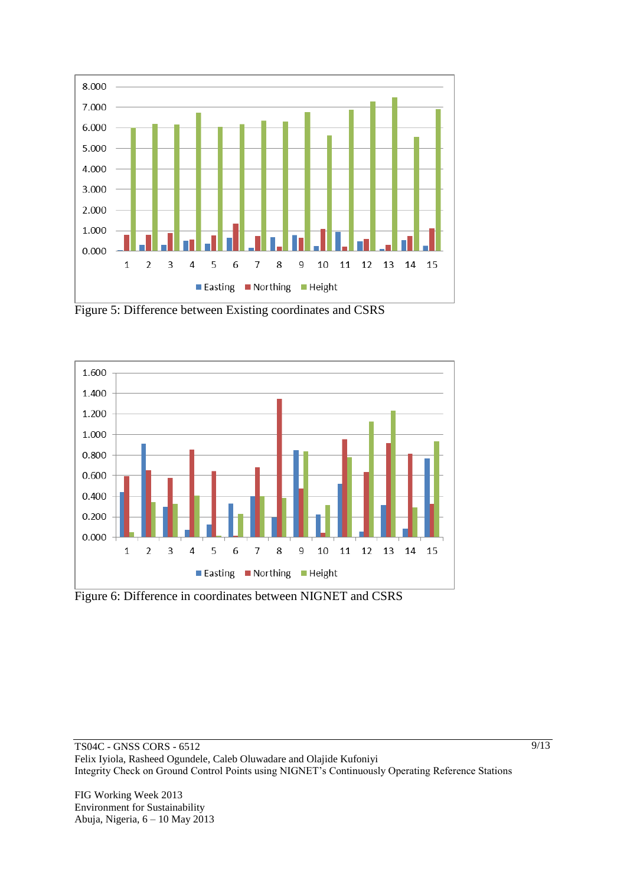

Figure 5: Difference between Existing coordinates and CSRS



Figure 6: Difference in coordinates between NIGNET and CSRS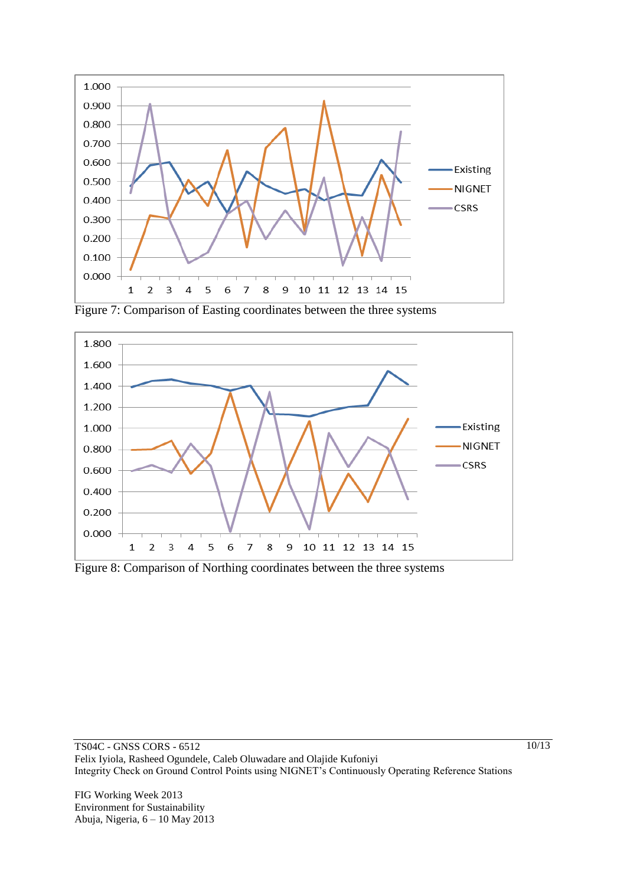

Figure 7: Comparison of Easting coordinates between the three systems



Figure 8: Comparison of Northing coordinates between the three systems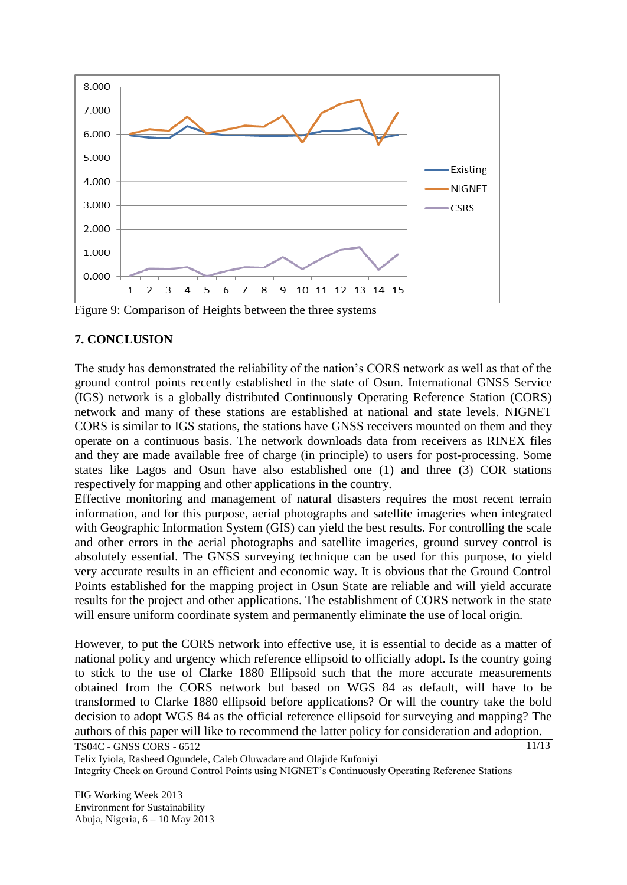

Figure 9: Comparison of Heights between the three systems

#### **7. CONCLUSION**

The study has demonstrated the reliability of the nation's CORS network as well as that of the ground control points recently established in the state of Osun. International GNSS Service (IGS) network is a globally distributed Continuously Operating Reference Station (CORS) network and many of these stations are established at national and state levels. NIGNET CORS is similar to IGS stations, the stations have GNSS receivers mounted on them and they operate on a continuous basis. The network downloads data from receivers as RINEX files and they are made available free of charge (in principle) to users for post-processing. Some states like Lagos and Osun have also established one (1) and three (3) COR stations respectively for mapping and other applications in the country.

Effective monitoring and management of natural disasters requires the most recent terrain information, and for this purpose, aerial photographs and satellite imageries when integrated with Geographic Information System (GIS) can yield the best results. For controlling the scale and other errors in the aerial photographs and satellite imageries, ground survey control is absolutely essential. The GNSS surveying technique can be used for this purpose, to yield very accurate results in an efficient and economic way. It is obvious that the Ground Control Points established for the mapping project in Osun State are reliable and will yield accurate results for the project and other applications. The establishment of CORS network in the state will ensure uniform coordinate system and permanently eliminate the use of local origin.

However, to put the CORS network into effective use, it is essential to decide as a matter of national policy and urgency which reference ellipsoid to officially adopt. Is the country going to stick to the use of Clarke 1880 Ellipsoid such that the more accurate measurements obtained from the CORS network but based on WGS 84 as default, will have to be transformed to Clarke 1880 ellipsoid before applications? Or will the country take the bold decision to adopt WGS 84 as the official reference ellipsoid for surveying and mapping? The authors of this paper will like to recommend the latter policy for consideration and adoption.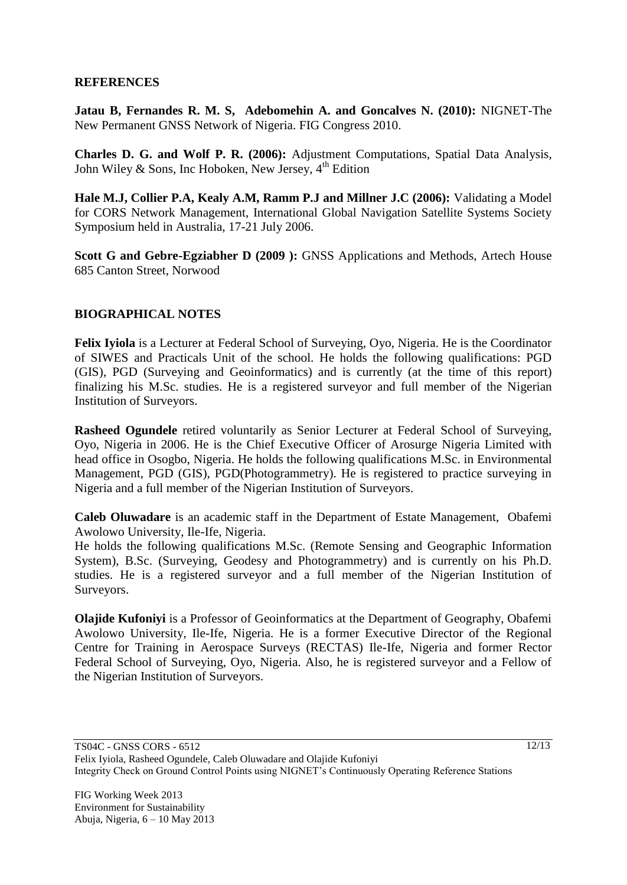#### **REFERENCES**

**Jatau B, Fernandes R. M. S, Adebomehin A. and Goncalves N. (2010):** NIGNET-The New Permanent GNSS Network of Nigeria. FIG Congress 2010.

**Charles D. G. and Wolf P. R. (2006):** Adjustment Computations, Spatial Data Analysis, John Wiley & Sons, Inc Hoboken, New Jersey,  $4<sup>th</sup>$  Edition

**Hale M.J, Collier P.A, Kealy A.M, Ramm P.J and Millner J.C (2006):** Validating a Model for CORS Network Management, International Global Navigation Satellite Systems Society Symposium held in Australia, 17-21 July 2006.

**Scott G and Gebre-Egziabher D (2009 ):** GNSS Applications and Methods, Artech House 685 Canton Street, Norwood

#### **BIOGRAPHICAL NOTES**

**Felix Iyiola** is a Lecturer at Federal School of Surveying, Oyo, Nigeria. He is the Coordinator of SIWES and Practicals Unit of the school. He holds the following qualifications: PGD (GIS), PGD (Surveying and Geoinformatics) and is currently (at the time of this report) finalizing his M.Sc. studies. He is a registered surveyor and full member of the Nigerian Institution of Surveyors.

**Rasheed Ogundele** retired voluntarily as Senior Lecturer at Federal School of Surveying, Oyo, Nigeria in 2006. He is the Chief Executive Officer of Arosurge Nigeria Limited with head office in Osogbo, Nigeria. He holds the following qualifications M.Sc. in Environmental Management, PGD (GIS), PGD(Photogrammetry). He is registered to practice surveying in Nigeria and a full member of the Nigerian Institution of Surveyors.

**Caleb Oluwadare** is an academic staff in the Department of Estate Management, Obafemi Awolowo University, Ile-Ife, Nigeria.

He holds the following qualifications M.Sc. (Remote Sensing and Geographic Information System), B.Sc. (Surveying, Geodesy and Photogrammetry) and is currently on his Ph.D. studies. He is a registered surveyor and a full member of the Nigerian Institution of Surveyors.

**Olajide Kufoniyi** is a Professor of Geoinformatics at the Department of Geography, Obafemi Awolowo University, Ile-Ife, Nigeria. He is a former Executive Director of the Regional Centre for Training in Aerospace Surveys (RECTAS) Ile-Ife, Nigeria and former Rector Federal School of Surveying, Oyo, Nigeria. Also, he is registered surveyor and a Fellow of the Nigerian Institution of Surveyors.